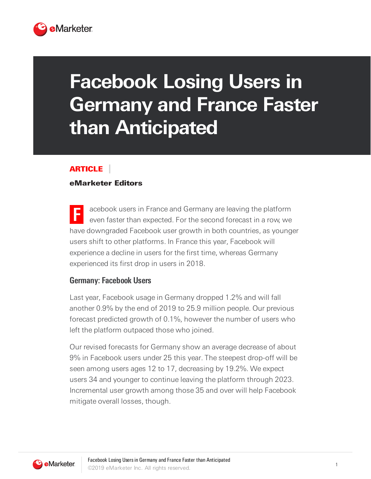

# **Facebook Losing Users in Germany and France Faster than Anticipated**

#### ARTICLE

#### eMarketer Editors

**F** acebook users in France and Germany are leaving the platform even faster than expected. For the second forecast in a row, we have downgraded Facebook user growth in both countries, as younger users shift to other platforms. In France this year, Facebook will experience a decline in users for the first time, whereas Germany experienced its first drop in users in 2018.

#### **Germany: Facebook Users**

Last year, Facebook usage in Germany dropped 1.2% and will fall another 0.9% by the end of 2019 to 25.9 million people. Our previous forecast predicted growth of 0.1%, however the number of users who left the platform outpaced those who joined.

Our revised forecasts for Germany show an average decrease of about 9% in Facebook users under 25 this year. The steepest drop-off will be seen among users ages 12 to 17, decreasing by 19.2%. We expect users 34 and younger to continue leaving the platform through 2023. Incremental user growth among those 35 and over will help Facebook mitigate overall losses, though.

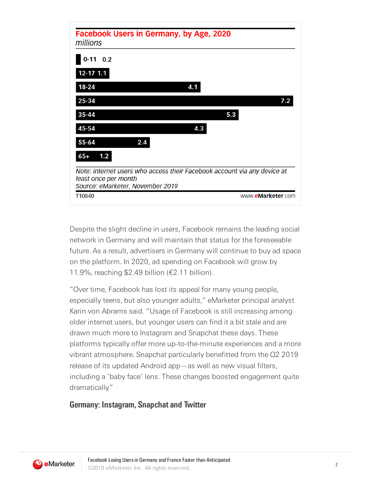

Despite the slight decline in users, Facebook remains the leading social network in Germany and will maintain that status for the foreseeable future. As a result, advertisers in Germany will continue to buy ad space on the platform. In 2020, ad spending on Facebook will grow by 11.9%, reaching \$2.49 billion (€2.11 billion).

"Over time, Facebook has lost its appeal for many young people, especially teens, but also younger adults," eMarketer principal analyst Karin von Abrams said. "Usage of Facebook is still increasing among older internet users, but younger users can find it a bit stale and are drawn much more to Instagram and Snapchat these days. These platforms typically offer more up-to-the-minute experiences and a more vibrant atmosphere. Snapchat particularly benefitted from the Q2 2019 release of its updated Android app—as well as new visual filters, including a 'baby face' lens. These changes boosted engagement quite dramatically."

## **Germany: Instagram, Snapchat and Twitter**

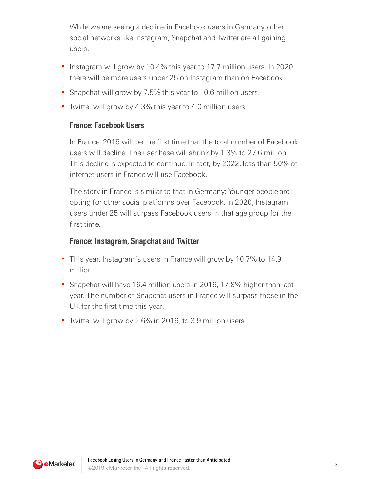While we are seeing a decline in Facebook users in Germany, other social networks like Instagram, Snapchat and Twitter are all gaining users.

- Instagram will grow by 10.4% this year to 17.7 million users. In 2020, Ξ there will be more users under 25 on Instagram than on Facebook.
- **Snapchat will grow by 7.5% this year to 10.6 million users.**
- Twitter will grow by 4.3% this year to 4.0 million users.

#### **France: Facebook Users**

In France, 2019 will be the first time that the total number of Facebook users will decline. The user base will shrink by 1.3% to 27.6 million. This decline is expected to continue. In fact, by 2022, less than 50% of internet users in France will use Facebook.

The story in France is similar to that in Germany: Younger people are opting for other social platforms over Facebook. In 2020, Instagram users under 25 will surpass Facebook users in that age group for the first time.

### **France: Instagram, Snapchat and Twitter**

- This year, Instagram's users in France will grow by 10.7% to 14.9 million.
- Snapchat will have 16.4 million users in 2019, 17.8% higher than last year. The number of Snapchat users in France will surpass those in the UK for the first time this year.
- Twitter will grow by 2.6% in 2019, to 3.9 million users.